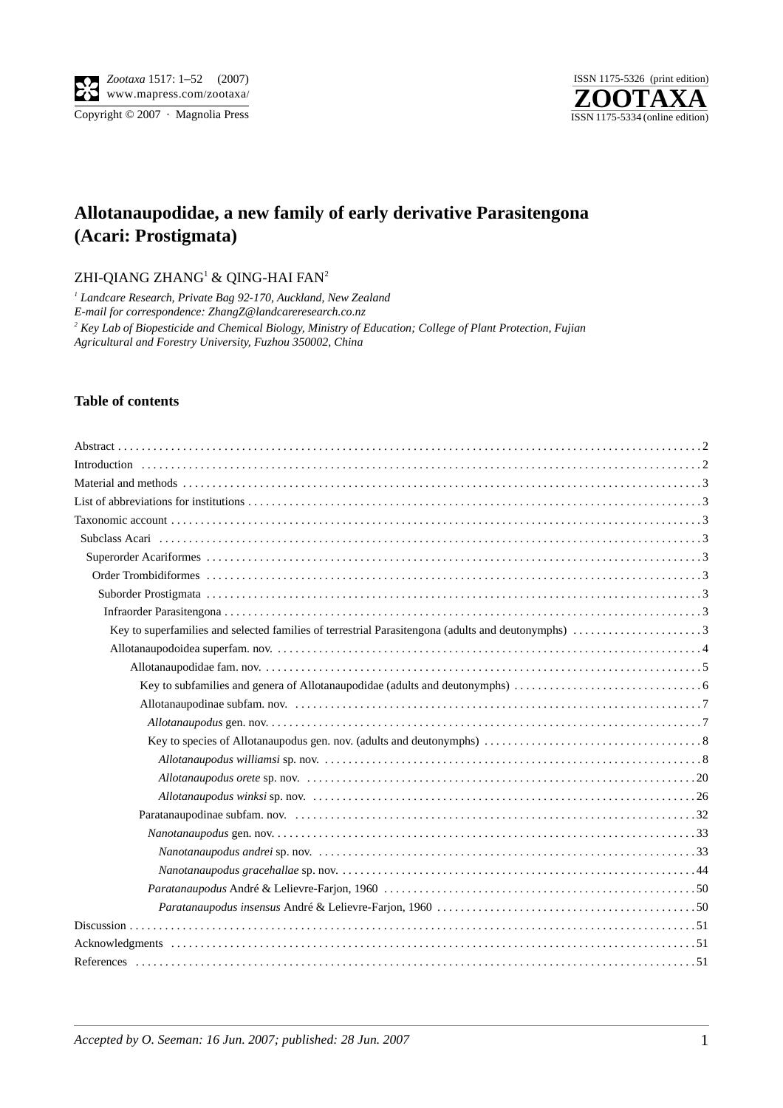

Copyright  $\odot$  2007 · Magnolia Press



## **Allotanaupodidae, a new family of early derivative Parasitengona (Acari: Prostigmata)**

ZHI-QIANG ZHANG $^{\rm l}$  & QING-HAI FAN $^{\rm 2}$ 

<sup>1</sup> Landcare Research, Private Bag 92-170, Auckland, New Zealand *E-mail for correspondence: ZhangZ@landcareresearch.co.nz 2 Key Lab of Biopesticide and Chemical Biology, Ministry of Education; College of Plant Protection, Fujian Agricultural and Forestry University, Fuzhou 350002, China*

## **Table of contents**